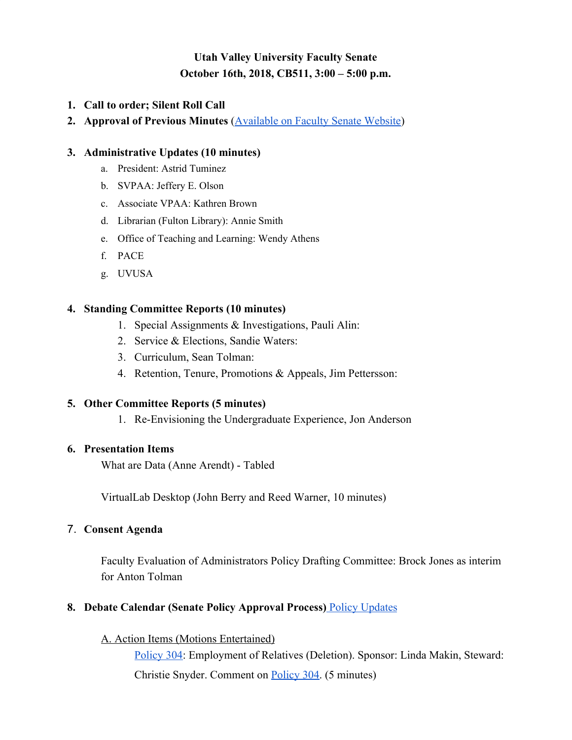# **Utah Valley University Faculty Senate October 16th, 2018, CB511, 3:00 – 5:00 p.m.**

- **1. Call to order; Silent Roll Call**
- **2. Approval of Previous Minutes** [\(Available on Faculty Senate Website](https://www.uvu.edu/facsenate/minutes.html))

### **3. Administrative Updates (10 minutes)**

- a. President: Astrid Tuminez
- b. SVPAA: Jeffery E. Olson
- c. Associate VPAA: Kathren Brown
- d. Librarian (Fulton Library): Annie Smith
- e. Office of Teaching and Learning: Wendy Athens
- f. PACE
- g. UVUSA

### **4. Standing Committee Reports (10 minutes)**

- 1. Special Assignments & Investigations, Pauli Alin:
- 2. Service & Elections, Sandie Waters:
- 3. Curriculum, Sean Tolman:
- 4. Retention, Tenure, Promotions & Appeals, Jim Pettersson:

### **5. Other Committee Reports (5 minutes)**

1. Re-Envisioning the Undergraduate Experience, Jon Anderson

### **6. Presentation Items**

What are Data (Anne Arendt) - Tabled

VirtualLab Desktop (John Berry and Reed Warner, 10 minutes)

# 7. **Consent Agenda**

Faculty Evaluation of Administrators Policy Drafting Committee: Brock Jones as interim for Anton Tolman

# **8. Debate Calendar (Senate Policy Approval Process)** [Policy Updates](https://docs.google.com/spreadsheets/d/1ogUOTkybP9_EBAc8SQE8kPQCDdWt1J8k9rRKaPPWX5Y/edit#gid=0)

A. Action Items (Motions Entertained)

[Policy 304:](https://policy.uvu.edu/getDisplayFile/57dad24ed4504c980ebddbf9) Employment of Relatives (Deletion). Sponsor: Linda Makin, Steward: Christie Snyder. Comment on [Policy 304.](https://docs.google.com/document/d/1JLFDy3FTkYw1h6dnL8udFrnvt9DF07dQ4T8-9wJtzuU) (5 minutes)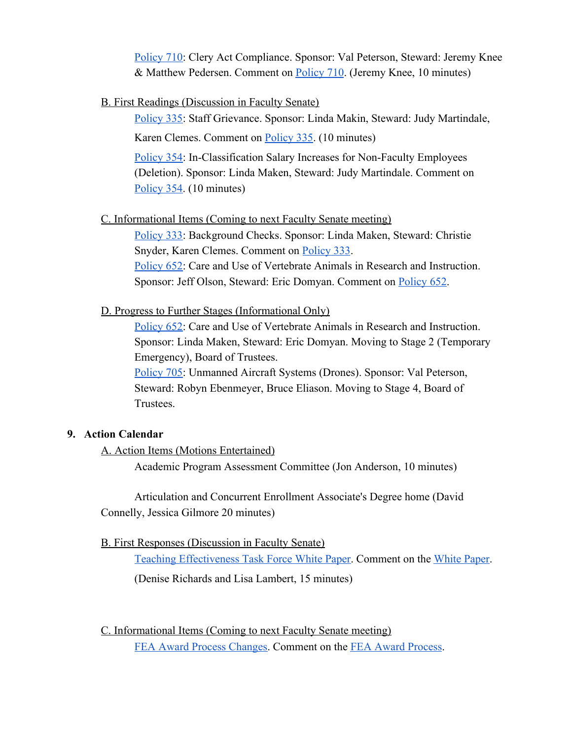[Policy 710:](https://policy.uvu.edu/getDisplayFile/5b3a9eb4f799418820def7d0) Clery Act Compliance. Sponsor: Val Peterson, Steward: Jeremy Knee & Matthew Pedersen. Comment on [Policy 710](https://docs.google.com/document/d/1EzP-OPmXuk4jmVXohdgm37WZeQlUr32O1zslMt1xJL4). (Jeremy Knee, 10 minutes)

### B. First Readings (Discussion in Faculty Senate)

[Policy 335:](https://policy.uvu.edu/getDisplayFile/58f91446871972f32d1de253) Staff Grievance. Sponsor: Linda Makin, Steward: Judy Martindale,

Karen Clemes. Comment on [Policy 335](https://docs.google.com/document/d/13cFyQpvrvHgOSXB7klPjGlN5WY2_CJrLDLYNrGtNpUA/edit?usp=sharing). (10 minutes)

[Policy 354:](https://policy.uvu.edu/getDisplayFile/5bad7af8a7b30cd23a3bb848) In-Classification Salary Increases for Non-Faculty Employees (Deletion). Sponsor: Linda Maken, Steward: Judy Martindale. Comment on [Policy 354.](https://docs.google.com/document/d/11NuVgRERUtvHTLaOZd4jceBzo2MzXgLzEmFvMZfYRMw/edit?usp=sharing) (10 minutes)

### C. Informational Items (Coming to next Faculty Senate meeting)

[Policy 333:](https://policy.uvu.edu/getDisplayFile/5750ec4397e4c89872d95661) Background Checks. Sponsor: Linda Maken, Steward: Christie Snyder, Karen Clemes. Comment on [Policy 333](https://docs.google.com/document/d/1a65Zt6H8cWmPM_PiGiQBe78OUQ_24dJOqBsGO6XmKcM/edit). **[Policy 652:](https://policy.uvu.edu/getDisplayFile/5a8f072869f6495f50f9b599)** Care and Use of Vertebrate Animals in Research and Instruction. Sponsor: Jeff Olson, Steward: Eric Domyan. Comment on **[Policy 652](https://docs.google.com/document/d/1_AquXSKXGA0f-UUK6guUZ-K_qTQfnFe-vrTpu_FhfO0/edit)**.

#### D. Progress to Further Stages (Informational Only)

[Policy 652:](https://policy.uvu.edu/getDisplayFile/5bbf9d5c3250976b151818e6) Care and Use of Vertebrate Animals in Research and Instruction. Sponsor: Linda Maken, Steward: Eric Domyan. Moving to Stage 2 (Temporary Emergency), Board of Trustees.

[Policy 705:](https://policy.uvu.edu/getDisplayFile/5750ecd097e4c89872d95663) Unmanned Aircraft Systems (Drones). Sponsor: Val Peterson, Steward: Robyn Ebenmeyer, Bruce Eliason. Moving to Stage 4, Board of Trustees.

### **9. Action Calendar**

A. Action Items (Motions Entertained)

Academic Program Assessment Committee (Jon Anderson, 10 minutes)

Articulation and Concurrent Enrollment Associate's Degree home (David Connelly, Jessica Gilmore 20 minutes)

### B. First Responses (Discussion in Faculty Senate)

[Teaching Effectiveness Task Force White Paper.](https://www.uvu.edu/otl/teachingeffectiveness.html) Comment on the [White Paper](https://docs.google.com/document/d/1APZWGE76aQG5tPxFetdWGfZuVRteVCTRzbycoAiw9xw/edit?usp=sharing). (Denise Richards and Lisa Lambert, 15 minutes)

C. Informational Items (Coming to next Faculty Senate meeting) [FEA Award Process Changes](https://drive.google.com/file/d/1HQl4yB2_FHFNW-NAsd1AtN_T2WK_Scsc/view?usp=sharing). Comment on the [FEA Award Process](https://docs.google.com/document/d/1VlYXC55hoh3sOFgU7Vmps_42nZ2m_KHqpTMfDKZ9kXc/edit?usp=sharing).